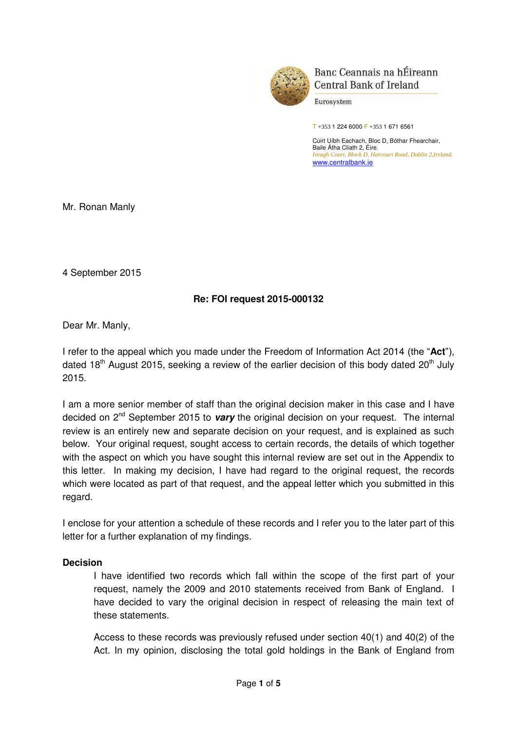

Banc Ceannais na hÉireann **Central Bank of Ireland** 

Eurosystem

 $T + 353$  1 224 6000 F + 353 1 671 6561

Cúirt Uíbh Eachach, Bloc D, Bóthar Fhearchair, Baile Átha Cliath 2, Éire. *Iveagh Court, Block D, Harcourt Road, Dublin 2,Ireland.*  [www.centralbank.ie](�� h t t p : / / w w w . c e n t r a l b a n k . i e /) 

Mr. Ronan Manly

4 September 2015

## **Re: FOI request 2015-000132**

Dear Mr. Manly,

I refer to the appeal which you made under the Freedom of Information Act 2014 (the "**Act**"), dated 18<sup>th</sup> August 2015, seeking a review of the earlier decision of this body dated 20<sup>th</sup> July 2015.

I am a more senior member of staff than the original decision maker in this case and I have decided on 2nd September 2015 to *vary* the original decision on your request. The internal review is an entirely new and separate decision on your request, and is explained as such below. Your original request, sought access to certain records, the details of which together with the aspect on which you have sought this internal review are set out in the Appendix to this letter. In making my decision, I have had regard to the original request, the records which were located as part of that request, and the appeal letter which you submitted in this regard.

I enclose for your attention a schedule of these records and I refer you to the later part of this letter for a further explanation of my findings.

#### **Decision**

I have identified two records which fall within the scope of the first part of your request, namely the 2009 and 2010 statements received from Bank of England. I have decided to vary the original decision in respect of releasing the main text of these statements.

Access to these records was previously refused under section 40(1) and 40(2) of the Act. In my opinion, disclosing the total gold holdings in the Bank of England from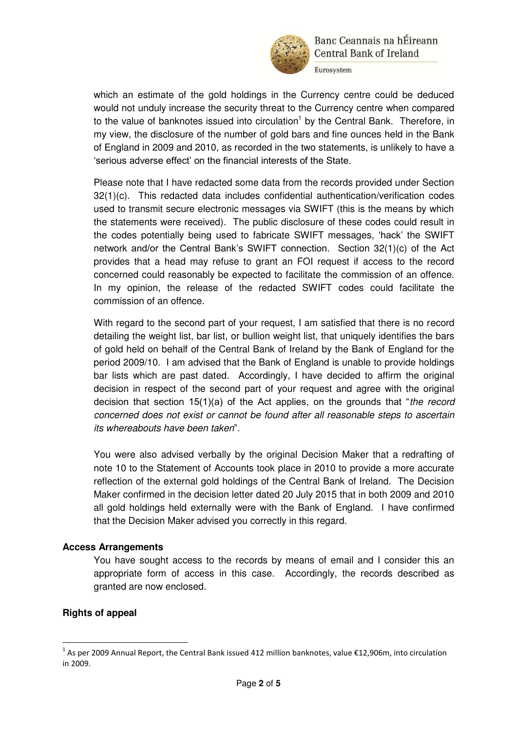

Eurosystem

which an estimate of the gold holdings in the Currency centre could be deduced would not unduly increase the security threat to the Currency centre when compared to the value of banknotes issued into circulation<sup>1</sup> by the Central Bank. Therefore, in my view, the disclosure of the number of gold bars and fine ounces held in the Bank of England in 2009 and 2010, as recorded in the two statements, is unlikely to have a "serious adverse effect" on the financial interests of the State.

Please note that I have redacted some data from the records provided under Section 32(1)(c). This redacted data includes confidential authentication/verification codes used to transmit secure electronic messages via SWIFT (this is the means by which the statements were received). The public disclosure of these codes could result in the codes potentially being used to fabricate SWIFT messages, "hack" the SWIFT network and/or the Central Bank"s SWIFT connection. Section 32(1)(c) of the Act provides that a head may refuse to grant an FOI request if access to the record concerned could reasonably be expected to facilitate the commission of an offence. In my opinion, the release of the redacted SWIFT codes could facilitate the commission of an offence.

With regard to the second part of your request, I am satisfied that there is no record detailing the weight list, bar list, or bullion weight list, that uniquely identifies the bars of gold held on behalf of the Central Bank of Ireland by the Bank of England for the period 2009/10. I am advised that the Bank of England is unable to provide holdings bar lists which are past dated. Accordingly, I have decided to affirm the original decision in respect of the second part of your request and agree with the original decision that section 15(1)(a) of the Act applies, on the grounds that "*the record concerned does not exist or cannot be found after all reasonable steps to ascertain its whereabouts have been taken*".

You were also advised verbally by the original Decision Maker that a redrafting of note 10 to the Statement of Accounts took place in 2010 to provide a more accurate reflection of the external gold holdings of the Central Bank of Ireland. The Decision Maker confirmed in the decision letter dated 20 July 2015 that in both 2009 and 2010 all gold holdings held externally were with the Bank of England. I have confirmed that the Decision Maker advised you correctly in this regard.

### **Access Arrangements**

You have sought access to the records by means of email and I consider this an appropriate form of access in this case. Accordingly, the records described as granted are now enclosed.

### **Rights of appeal**

<u>.</u>

<sup>&</sup>lt;sup>1</sup> As per 2009 Annual Report, the Central Bank issued 412 million banknotes, value €12,906m, into circulation in 2009.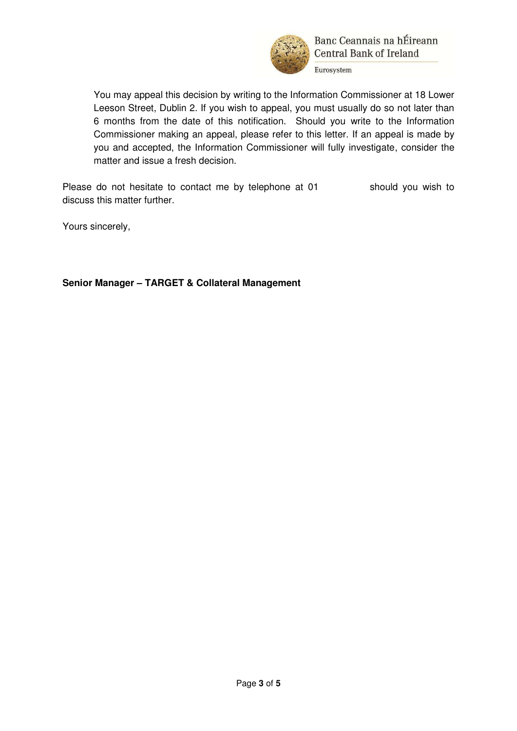

Banc Ceannais na hÉireann **Central Bank of Ireland** 

Eurosystem

You may appeal this decision by writing to the Information Commissioner at 18 Lower Leeson Street, Dublin 2. If you wish to appeal, you must usually do so not later than 6 months from the date of this notification. Should you write to the Information Commissioner making an appeal, please refer to this letter. If an appeal is made by you and accepted, the Information Commissioner will fully investigate, consider the matter and issue a fresh decision.

Please do not hesitate to contact me by telephone at 01 should you wish to discuss this matter further.

Yours sincerely,

**Senior Manager – TARGET & Collateral Management**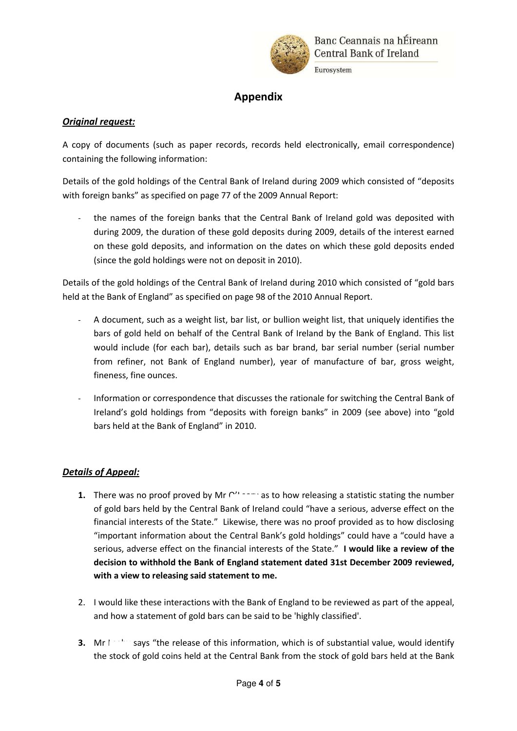

# **Appendix**

### **Original request:**

A copy of documents (such as paper records, records held electronically, email correspondence) containing the following information:

Details of the gold holdings of the Central Bank of Ireland during 2009 which consisted of "deposits with foreign banks" as specified on page 77 of the 2009 Annual Report:

the names of the foreign banks that the Central Bank of Ireland gold was deposited with during 2009, the duration of these gold deposits during 2009, details of the interest earned on these gold deposits, and information on the dates on which these gold deposits ended (since the gold holdings were not on deposit in 2010).

Details of the gold holdings of the Central Bank of Ireland during 2010 which consisted of "gold bars held at the Bank of England" as specified on page 98 of the 2010 Annual Report.

- A document, such as a weight list, bar list, or bullion weight list, that uniquely identifies the bars of gold held on behalf of the Central Bank of Ireland by the Bank of England. This list would include (for each bar), details such as bar brand, bar serial number (serial number from refiner, not Bank of England number), year of manufacture of bar, gross weight, fineness, fine ounces.
- Information or correspondence that discusses the rationale for switching the Central Bank of Ireland's gold holdings from "deposits with foreign banks" in 2009 (see above) into "gold bars held at the Bank of England" in 2010.

### **Details of Appeal:**

- **1.** There was no proof proved by Mr  $\cap$   $\cap$  as to how releasing a statistic stating the number of gold bars held by the Central Bank of Ireland could "have a serious, adverse effect on the financial interests of the State." Likewise, there was no proof provided as to how disclosing "important information about the Central Bank's gold holdings" could have a "could have a serious, adverse effect on the financial interests of the State." I would like a review of the decision to withhold the Bank of England statement dated 31st December 2009 reviewed, with a view to releasing said statement to me.
- 2. I would like these interactions with the Bank of England to be reviewed as part of the appeal, and how a statement of gold bars can be said to be 'highly classified'.
- 3. Mr  $\left| \cdot \right|$ says "the release of this information, which is of substantial value, would identify the stock of gold coins held at the Central Bank from the stock of gold bars held at the Bank